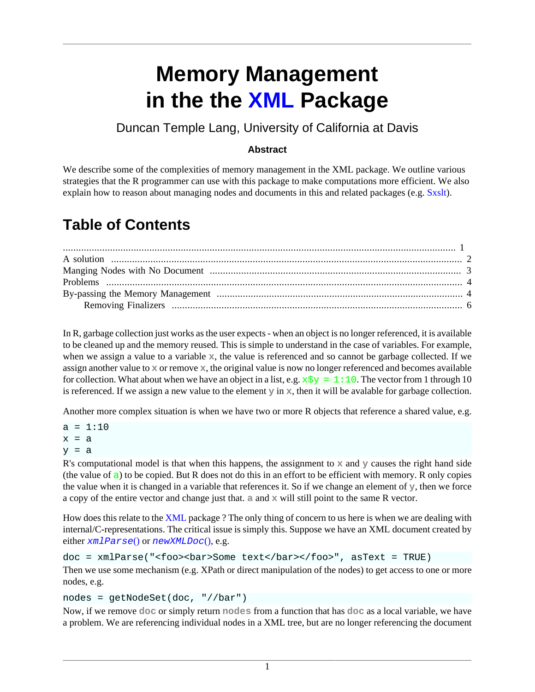# **Memory Management in the the [XML](http://www.omegahat.org/RSXML) Package**

#### Duncan Temple Lang, University of California at Davis

#### **Abstract**

We describe some of the complexities of memory management in the XML package. We outline various strategies that the R programmer can use with this package to make computations more efficient. We also explain how to reason about managing nodes and documents in this and related packages (e.g. [Sxslt](http://www.omegahat.org/Sxslt)).

#### **Table of Contents**

<span id="page-0-0"></span>In R, garbage collection just works as the user expects - when an object is no longer referenced, it is available to be cleaned up and the memory reused. This is simple to understand in the case of variables. For example, when we assign a value to a variable **x**, the value is referenced and so cannot be garbage collected. If we assign another value to **x** or remove **x**, the original value is now no longer referenced and becomes available for collection. What about when we have an object in a list, e.g.  $x\overline{y}y = 1:10$ . The vector from 1 through 10 is referenced. If we assign a new value to the element  $\mathbf{y}$  in  $\mathbf{x}$ , then it will be avalable for garbage collection.

Another more complex situation is when we have two or more R objects that reference a shared value, e.g.

 $a = 1:10$  $x = a$  $y = a$ 

R's computational model is that when this happens, the assignment to  $\bf{x}$  and  $\bf{y}$  causes the right hand side (the value of  $a$ ) to be copied. But R does not do this in an effort to be efficient with memory. R only copies the value when it is changed in a variable that references it. So if we change an element of **y**, then we force a copy of the entire vector and change just that. **a** and **x** will still point to the same R vector.

How does this relate to the [XML](http://www.omegahat.org/RSXML) package ? The only thing of concern to us here is when we are dealing with internal/C-representations. The critical issue is simply this. Suppose we have an XML document created by either xmlParse() or newXMLDoc(), e.g.

```
doc = xmlParse("<foo><bar>Some text</bar></foo>", asText = TRUE)
Then we use some mechanism (e.g. XPath or direct manipulation of the nodes) to get access to one or more
nodes, e.g.
```

```
nodes = getNodeSet(doc, "//bar")
```
Now, if we remove **doc** or simply return **nodes** from a function that has **doc** as a local variable, we have a problem. We are referencing individual nodes in a XML tree, but are no longer referencing the document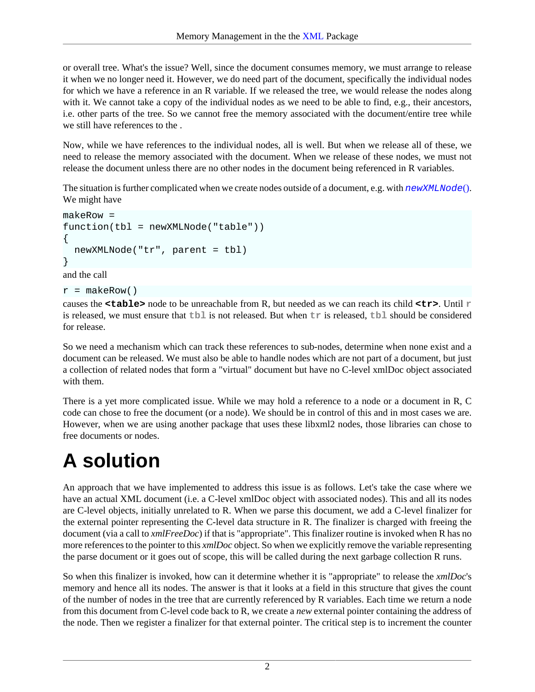or overall tree. What's the issue? Well, since the document consumes memory, we must arrange to release it when we no longer need it. However, we do need part of the document, specifically the individual nodes for which we have a reference in an R variable. If we released the tree, we would release the nodes along with it. We cannot take a copy of the individual nodes as we need to be able to find, e.g., their ancestors, i.e. other parts of the tree. So we cannot free the memory associated with the document/entire tree while we still have references to the .

Now, while we have references to the individual nodes, all is well. But when we release all of these, we need to release the memory associated with the document. When we release of these nodes, we must not release the document unless there are no other nodes in the document being referenced in R variables.

The situation is further complicated when we create nodes outside of a document, e.g. with  $newXMLNode()$ . We might have

```
makeRow = 
function(tbl = newXMLNode("table"))
{
  newXMLNode("tr", parent = tbl)
}
```
and the call

 $r =$  makeRow()

causes the **<table>** node to be unreachable from R, but needed as we can reach its child **<tr>**. Until **r** is released, we must ensure that **tbl** is not released. But when **tr** is released, **tbl** should be considered for release.

So we need a mechanism which can track these references to sub-nodes, determine when none exist and a document can be released. We must also be able to handle nodes which are not part of a document, but just a collection of related nodes that form a "virtual" document but have no C-level xmlDoc object associated with them.

There is a yet more complicated issue. While we may hold a reference to a node or a document in R, C code can chose to free the document (or a node). We should be in control of this and in most cases we are. However, when we are using another package that uses these libxml2 nodes, those libraries can chose to free documents or nodes.

# <span id="page-1-0"></span>**A solution**

An approach that we have implemented to address this issue is as follows. Let's take the case where we have an actual XML document (i.e. a C-level xmlDoc object with associated nodes). This and all its nodes are C-level objects, initially unrelated to R. When we parse this document, we add a C-level finalizer for the external pointer representing the C-level data structure in R. The finalizer is charged with freeing the document (via a call to *xmlFreeDoc*) if that is "appropriate". This finalizer routine is invoked when R has no more references to the pointer to this *xmlDoc* object. So when we explicitly remove the variable representing the parse document or it goes out of scope, this will be called during the next garbage collection R runs.

So when this finalizer is invoked, how can it determine whether it is "appropriate" to release the *xmlDoc*'s memory and hence all its nodes. The answer is that it looks at a field in this structure that gives the count of the number of nodes in the tree that are currently referenced by R variables. Each time we return a node from this document from C-level code back to R, we create a *new* external pointer containing the address of the node. Then we register a finalizer for that external pointer. The critical step is to increment the counter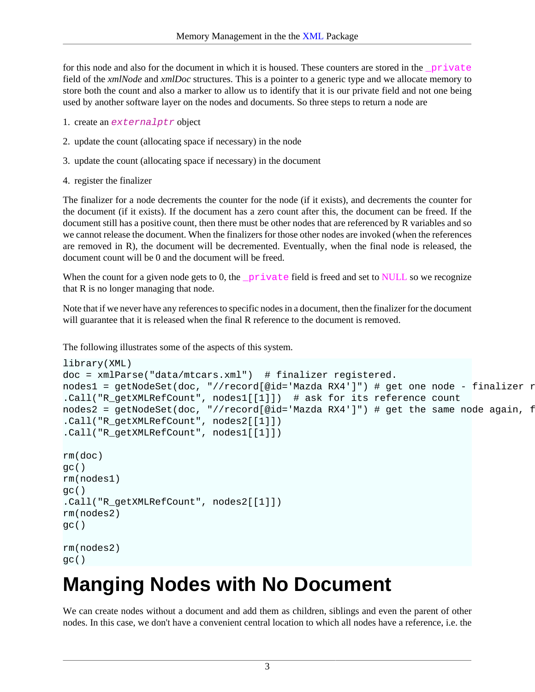for this node and also for the document in which it is housed. These counters are stored in the *private* field of the *xmlNode* and *xmlDoc* structures. This is a pointer to a generic type and we allocate memory to store both the count and also a marker to allow us to identify that it is our private field and not one being used by another software layer on the nodes and documents. So three steps to return a node are

- 1. create an externalptr object
- 2. update the count (allocating space if necessary) in the node
- 3. update the count (allocating space if necessary) in the document
- 4. register the finalizer

The finalizer for a node decrements the counter for the node (if it exists), and decrements the counter for the document (if it exists). If the document has a zero count after this, the document can be freed. If the document still has a positive count, then there must be other nodes that are referenced by R variables and so we cannot release the document. When the finalizers for those other nodes are invoked (when the references are removed in R), the document will be decremented. Eventually, when the final node is released, the document count will be 0 and the document will be freed.

When the count for a given node gets to 0, the  $\_private$  field is freed and set to NULL so we recognize that R is no longer managing that node.

Note that if we never have any references to specific nodes in a document, then the finalizer for the document will guarantee that it is released when the final R reference to the document is removed.

The following illustrates some of the aspects of this system.

```
library(XML)
doc = xmlParse("data/mtcars.xml") # finalizer registered.
nodes1 = getNodeSet(doc, "//record[@id='Mazda RX4']") # get one node - finalizer r
.Call("R_getXMLRefCount", nodes1[[1]]) # ask for its reference count
nodes2 = getNodeSet(doc, "//record[@id='Mazda RX4']") # get the same node again, f
.Call("R_getXMLRefCount", nodes2[[1]])
.Call("R_getXMLRefCount", nodes1[[1]])
rm(doc)
gc()
rm(nodes1)
\text{qc}(\ ).Call("R_getXMLRefCount", nodes2[[1]])
rm(nodes2)
\text{qc}(\ )rm(nodes2)
gc()
```
#### <span id="page-2-0"></span>**Manging Nodes with No Document**

We can create nodes without a document and add them as children, siblings and even the parent of other nodes. In this case, we don't have a convenient central location to which all nodes have a reference, i.e. the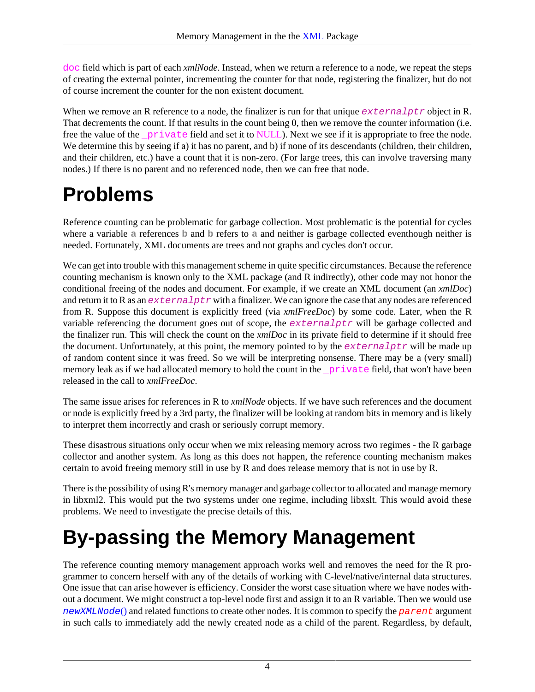doc field which is part of each *xmlNode*. Instead, when we return a reference to a node, we repeat the steps of creating the external pointer, incrementing the counter for that node, registering the finalizer, but do not of course increment the counter for the non existent document.

When we remove an R reference to a node, the finalizer is run for that unique  $ext{external}$  object in R. That decrements the count. If that results in the count being 0, then we remove the counter information (i.e. free the value of the <u>private</u> field and set it to NULL). Next we see if it is appropriate to free the node. We determine this by seeing if a) it has no parent, and b) if none of its descendants (children, their children, and their children, etc.) have a count that it is non-zero. (For large trees, this can involve traversing many nodes.) If there is no parent and no referenced node, then we can free that node.

### <span id="page-3-0"></span>**Problems**

Reference counting can be problematic for garbage collection. Most problematic is the potential for cycles where a variable **a** references **b** and **b** refers to **a** and neither is garbage collected eventhough neither is needed. Fortunately, XML documents are trees and not graphs and cycles don't occur.

We can get into trouble with this management scheme in quite specific circumstances. Because the reference counting mechanism is known only to the XML package (and R indirectly), other code may not honor the conditional freeing of the nodes and document. For example, if we create an XML document (an *xmlDoc*) and return it to R as an external ptr with a finalizer. We can ignore the case that any nodes are referenced from R. Suppose this document is explicitly freed (via *xmlFreeDoc*) by some code. Later, when the R variable referencing the document goes out of scope, the externalptr will be garbage collected and the finalizer run. This will check the count on the *xmlDoc* in its private field to determine if it should free the document. Unfortunately, at this point, the memory pointed to by the  $externalptr$  will be made up of random content since it was freed. So we will be interpreting nonsense. There may be a (very small) memory leak as if we had allocated memory to hold the count in the <u>private field</u>, that won't have been released in the call to *xmlFreeDoc*.

The same issue arises for references in R to *xmlNode* objects. If we have such references and the document or node is explicitly freed by a 3rd party, the finalizer will be looking at random bits in memory and is likely to interpret them incorrectly and crash or seriously corrupt memory.

These disastrous situations only occur when we mix releasing memory across two regimes - the R garbage collector and another system. As long as this does not happen, the reference counting mechanism makes certain to avoid freeing memory still in use by R and does release memory that is not in use by R.

There is the possibility of using R's memory manager and garbage collector to allocated and manage memory in libxml2. This would put the two systems under one regime, including libxslt. This would avoid these problems. We need to investigate the precise details of this.

## <span id="page-3-1"></span>**By-passing the Memory Management**

The reference counting memory management approach works well and removes the need for the R programmer to concern herself with any of the details of working with C-level/native/internal data structures. One issue that can arise however is efficiency. Consider the worst case situation where we have nodes without a document. We might construct a top-level node first and assign it to an R variable. Then we would use newXMLNode() and related functions to create other nodes. It is common to specify the parent argument in such calls to immediately add the newly created node as a child of the parent. Regardless, by default,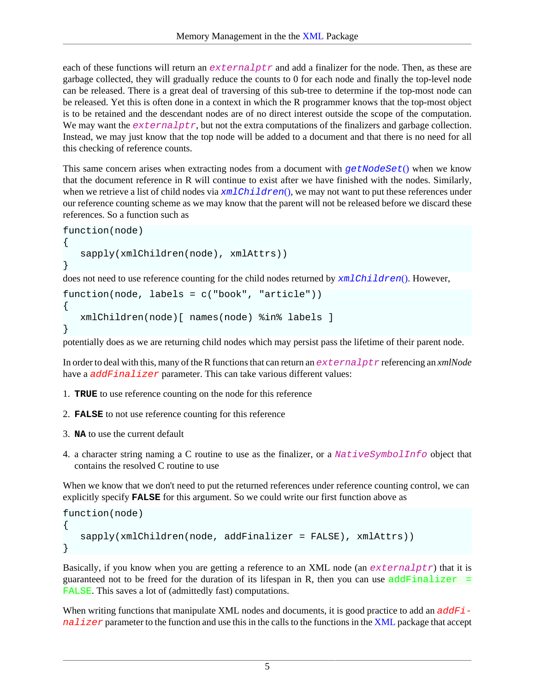each of these functions will return an  $ext{centralptr}$  and add a finalizer for the node. Then, as these are garbage collected, they will gradually reduce the counts to 0 for each node and finally the top-level node can be released. There is a great deal of traversing of this sub-tree to determine if the top-most node can be released. Yet this is often done in a context in which the R programmer knows that the top-most object is to be retained and the descendant nodes are of no direct interest outside the scope of the computation. We may want the external ptr, but not the extra computations of the finalizers and garbage collection. Instead, we may just know that the top node will be added to a document and that there is no need for all this checking of reference counts.

This same concern arises when extracting nodes from a document with  $getNodeset()$  when we know that the document reference in R will continue to exist after we have finished with the nodes. Similarly, when we retrieve a list of child nodes via  $xmlChildren()$ , we may not want to put these references under our reference counting scheme as we may know that the parent will not be released before we discard these references. So a function such as

```
function(node)
{
   sapply(xmlChildren(node), xmlAttrs))
}
```
does not need to use reference counting for the child nodes returned by  $xmlChiIdren()$ . However,

```
function(node, labels = c("book", "article"))
{
   xmlChildren(node)[ names(node) %in% labels ]
}
```
potentially does as we are returning child nodes which may persist pass the lifetime of their parent node.

In order to deal with this, many of the R functions that can return an externalptr referencing an *xmlNode* have a addFinalizer parameter. This can take various different values:

- 1. **TRUE** to use reference counting on the node for this reference
- 2. **FALSE** to not use reference counting for this reference
- 3. **NA** to use the current default
- 4. a character string naming a C routine to use as the finalizer, or a Native SymbolInfo object that contains the resolved C routine to use

When we know that we don't need to put the returned references under reference counting control, we can explicitly specify **FALSE** for this argument. So we could write our first function above as

```
function(node)
{
    sapply(xmlChildren(node, addFinalizer = FALSE), xmlAttrs))
}
```
Basically, if you know when you are getting a reference to an XML node (an  $ext{externalptr}$ ) that it is guaranteed not to be freed for the duration of its lifespan in R, then you can use  $addFinalizer =$ FALSE. This saves a lot of (admittedly fast) computations.

When writing functions that manipulate XML nodes and documents, it is good practice to add an  $\frac{addF_i}{dt}$ nalizer parameter to the function and use this in the calls to the functions in the [XML](http://www.omegahat.org/RSXML) package that accept